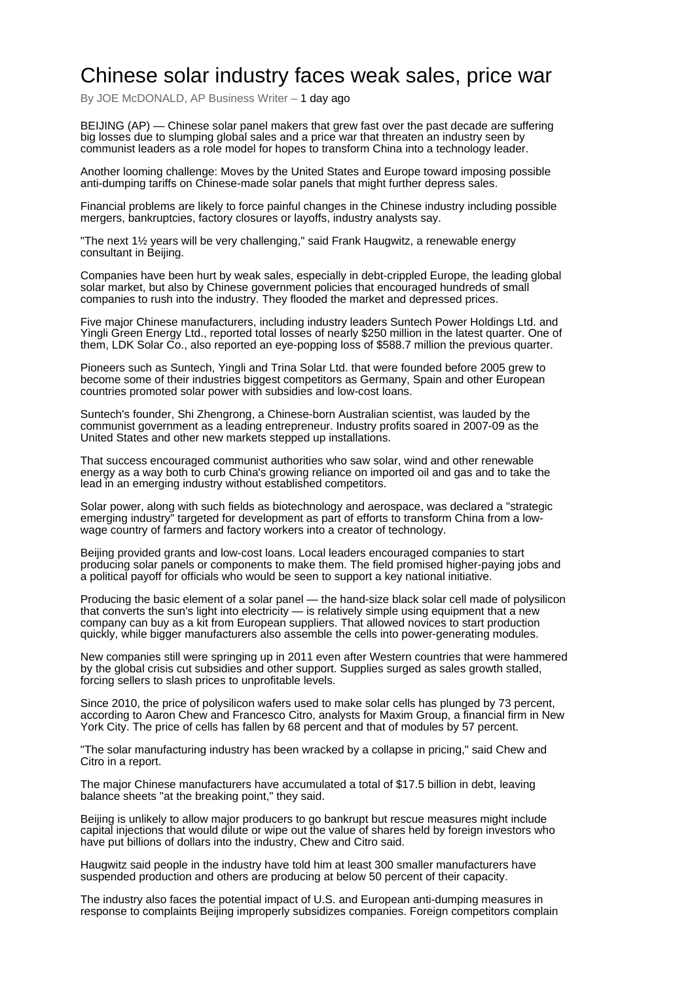## Chinese solar industry faces weak sales, price war

By JOE McDONALD, AP Business Writer - 1 day ago

BEIJING (AP) — Chinese solar panel makers that grew fast over the past decade are suffering big losses due to slumping global sales and a price war that threaten an industry seen by communist leaders as a role model for hopes to transform China into a technology leader.

Another looming challenge: Moves by the United States and Europe toward imposing possible anti-dumping tariffs on Chinese-made solar panels that might further depress sales.

Financial problems are likely to force painful changes in the Chinese industry including possible mergers, bankruptcies, factory closures or layoffs, industry analysts say.

"The next 1½ years will be very challenging," said Frank Haugwitz, a renewable energy consultant in Beijing.

Companies have been hurt by weak sales, especially in debt-crippled Europe, the leading global solar market, but also by Chinese government policies that encouraged hundreds of small companies to rush into the industry. They flooded the market and depressed prices.

Five major Chinese manufacturers, including industry leaders Suntech Power Holdings Ltd. and Yingli Green Energy Ltd., reported total losses of nearly \$250 million in the latest quarter. One of them, LDK Solar Co., also reported an eye-popping loss of \$588.7 million the previous quarter.

Pioneers such as Suntech, Yingli and Trina Solar Ltd. that were founded before 2005 grew to become some of their industries biggest competitors as Germany, Spain and other European countries promoted solar power with subsidies and low-cost loans.

Suntech's founder, Shi Zhengrong, a Chinese-born Australian scientist, was lauded by the communist government as a leading entrepreneur. Industry profits soared in 2007-09 as the United States and other new markets stepped up installations.

That success encouraged communist authorities who saw solar, wind and other renewable energy as a way both to curb China's growing reliance on imported oil and gas and to take the lead in an emerging industry without established competitors.

Solar power, along with such fields as biotechnology and aerospace, was declared a "strategic emerging industry<sup>"</sup> targeted for development as part of efforts to transform China from a lowwage country of farmers and factory workers into a creator of technology.

Beijing provided grants and low-cost loans. Local leaders encouraged companies to start producing solar panels or components to make them. The field promised higher-paying jobs and a political payoff for officials who would be seen to support a key national initiative.

Producing the basic element of a solar panel — the hand-size black solar cell made of polysilicon that converts the sun's light into electricity — is relatively simple using equipment that a new company can buy as a kit from European suppliers. That allowed novices to start production quickly, while bigger manufacturers also assemble the cells into power-generating modules.

New companies still were springing up in 2011 even after Western countries that were hammered by the global crisis cut subsidies and other support. Supplies surged as sales growth stalled, forcing sellers to slash prices to unprofitable levels.

Since 2010, the price of polysilicon wafers used to make solar cells has plunged by 73 percent, according to Aaron Chew and Francesco Citro, analysts for Maxim Group, a financial firm in New York City. The price of cells has fallen by 68 percent and that of modules by 57 percent.

"The solar manufacturing industry has been wracked by a collapse in pricing," said Chew and Citro in a report.

The major Chinese manufacturers have accumulated a total of \$17.5 billion in debt, leaving balance sheets "at the breaking point," they said.

Beijing is unlikely to allow major producers to go bankrupt but rescue measures might include capital injections that would dilute or wipe out the value of shares held by foreign investors who have put billions of dollars into the industry, Chew and Citro said.

Haugwitz said people in the industry have told him at least 300 smaller manufacturers have suspended production and others are producing at below 50 percent of their capacity.

The industry also faces the potential impact of U.S. and European anti-dumping measures in response to complaints Beijing improperly subsidizes companies. Foreign competitors complain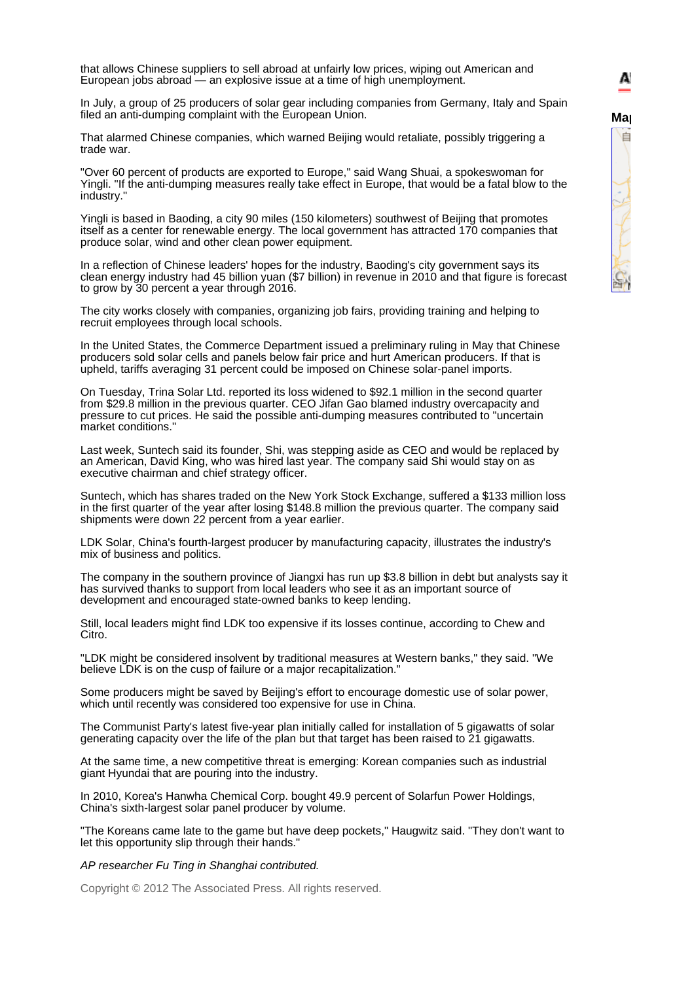that allows Chinese suppliers to sell abroad at unfairly low prices, wiping out American and European jobs abroad — an explosive issue at a time of high unemployment.

In July, a group of 25 producers of solar gear including companies from Germany, Italy and Spain filed an anti-dumping complaint with the European Union.

That alarmed Chinese companies, which warned Beijing would retaliate, possibly triggering a trade war.

"Over 60 percent of products are exported to Europe," said Wang Shuai, a spokeswoman for Yingli. "If the anti-dumping measures really take effect in Europe, that would be a fatal blow to the industry."

Yingli is based in Baoding, a city 90 miles (150 kilometers) southwest of Beijing that promotes itself as a center for renewable energy. The local government has attracted 170 companies that produce solar, wind and other clean power equipment.

In a reflection of Chinese leaders' hopes for the industry, Baoding's city government says its clean energy industry had 45 billion yuan (\$7 billion) in revenue in 2010 and that figure is forecast to grow by 30 percent a year through 2016.

The city works closely with companies, organizing job fairs, providing training and helping to recruit employees through local schools.

In the United States, the Commerce Department issued a preliminary ruling in May that Chinese producers sold solar cells and panels below fair price and hurt American producers. If that is upheld, tariffs averaging 31 percent could be imposed on Chinese solar-panel imports.

On Tuesday, Trina Solar Ltd. reported its loss widened to \$92.1 million in the second quarter from \$29.8 million in the previous quarter. CEO Jifan Gao blamed industry overcapacity and pressure to cut prices. He said the possible anti-dumping measures contributed to "uncertain market conditions."

Last week, Suntech said its founder, Shi, was stepping aside as CEO and would be replaced by an American, David King, who was hired last year. The company said Shi would stay on as executive chairman and chief strategy officer.

Suntech, which has shares traded on the New York Stock Exchange, suffered a \$133 million loss in the first quarter of the year after losing \$148.8 million the previous quarter. The company said shipments were down 22 percent from a year earlier.

LDK Solar, China's fourth-largest producer by manufacturing capacity, illustrates the industry's mix of business and politics.

The company in the southern province of Jiangxi has run up \$3.8 billion in debt but analysts say it has survived thanks to support from local leaders who see it as an important source of development and encouraged state-owned banks to keep lending.

Still, local leaders might find LDK too expensive if its losses continue, according to Chew and Citro.

"LDK might be considered insolvent by traditional measures at Western banks," they said. "We believe LDK is on the cusp of failure or a major recapitalization."

Some producers might be saved by Beijing's effort to encourage domestic use of solar power, which until recently was considered too expensive for use in China.

The Communist Party's latest five-year plan initially called for installation of 5 gigawatts of solar generating capacity over the life of the plan but that target has been raised to 21 gigawatts.

At the same time, a new competitive threat is emerging: Korean companies such as industrial giant Hyundai that are pouring into the industry.

In 2010, Korea's Hanwha Chemical Corp. bought 49.9 percent of Solarfun Power Holdings, China's sixth-largest solar panel producer by volume.

"The Koreans came late to the game but have deep pockets," Haugwitz said. "They don't want to let this opportunity slip through their hands."

*AP researcher Fu Ting in Shanghai contributed.*

Copyright © 2012 The Associated Press. All rights reserved.

A